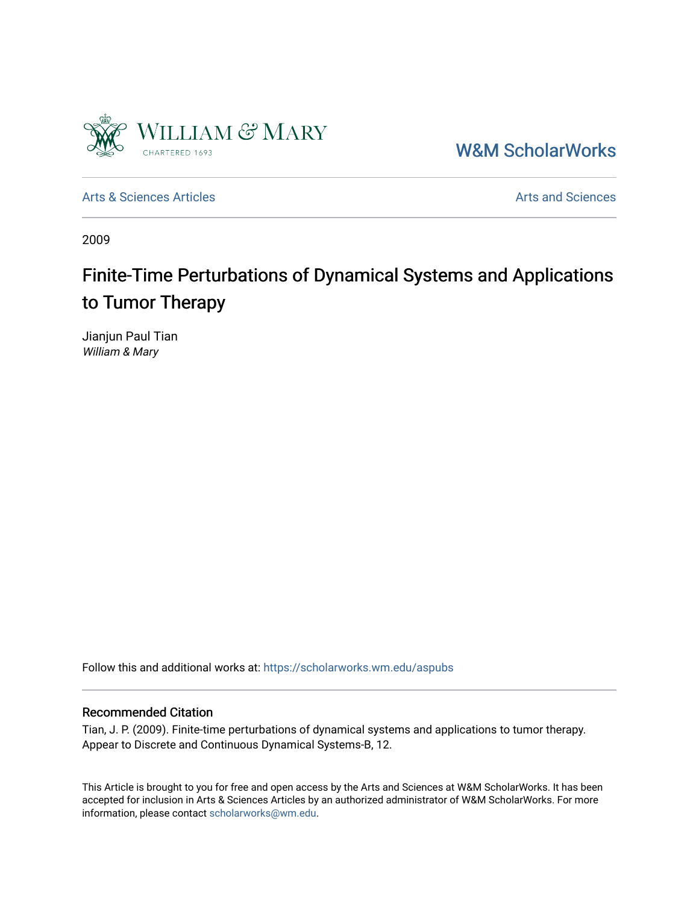

[W&M ScholarWorks](https://scholarworks.wm.edu/) 

[Arts & Sciences Articles](https://scholarworks.wm.edu/aspubs) **Articles** [Arts and Sciences](https://scholarworks.wm.edu/as) Articles Arts and Sciences Arts and Sciences Articles Arts and Sciences Arts and Sciences Articles Arts and Sciences Articles Arts and Sciences Articles **Arts and Scien** 

2009

# Finite-Time Perturbations of Dynamical Systems and Applications to Tumor Therapy

Jianjun Paul Tian William & Mary

Follow this and additional works at: [https://scholarworks.wm.edu/aspubs](https://scholarworks.wm.edu/aspubs?utm_source=scholarworks.wm.edu%2Faspubs%2F1125&utm_medium=PDF&utm_campaign=PDFCoverPages) 

### Recommended Citation

Tian, J. P. (2009). Finite-time perturbations of dynamical systems and applications to tumor therapy. Appear to Discrete and Continuous Dynamical Systems-B, 12.

This Article is brought to you for free and open access by the Arts and Sciences at W&M ScholarWorks. It has been accepted for inclusion in Arts & Sciences Articles by an authorized administrator of W&M ScholarWorks. For more information, please contact [scholarworks@wm.edu](mailto:scholarworks@wm.edu).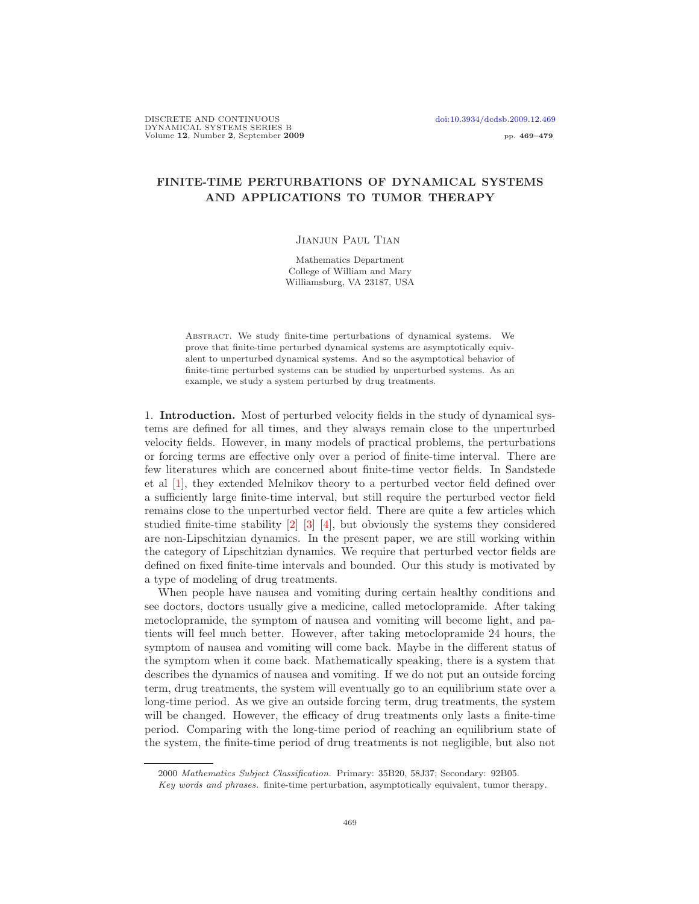## FINITE-TIME PERTURBATIONS OF DYNAMICAL SYSTEMS AND APPLICATIONS TO TUMOR THERAPY

#### Jianjun Paul Tian

Mathematics Department College of William and Mary Williamsburg, VA 23187, USA

Abstract. We study finite-time perturbations of dynamical systems. We prove that finite-time perturbed dynamical systems are asymptotically equivalent to unperturbed dynamical systems. And so the asymptotical behavior of finite-time perturbed systems can be studied by unperturbed systems. As an example, we study a system perturbed by drug treatments.

1. Introduction. Most of perturbed velocity fields in the study of dynamical systems are defined for all times, and they always remain close to the unperturbed velocity fields. However, in many models of practical problems, the perturbations or forcing terms are effective only over a period of finite-time interval. There are few literatures which are concerned about finite-time vector fields. In Sandstede et al [\[1\]](#page-10-0), they extended Melnikov theory to a perturbed vector field defined over a sufficiently large finite-time interval, but still require the perturbed vector field remains close to the unperturbed vector field. There are quite a few articles which studied finite-time stability [\[2\]](#page-10-1) [\[3\]](#page-11-0) [\[4\]](#page-11-1), but obviously the systems they considered are non-Lipschitzian dynamics. In the present paper, we are still working within the category of Lipschitzian dynamics. We require that perturbed vector fields are defined on fixed finite-time intervals and bounded. Our this study is motivated by a type of modeling of drug treatments.

When people have nausea and vomiting during certain healthy conditions and see doctors, doctors usually give a medicine, called metoclopramide. After taking metoclopramide, the symptom of nausea and vomiting will become light, and patients will feel much better. However, after taking metoclopramide 24 hours, the symptom of nausea and vomiting will come back. Maybe in the different status of the symptom when it come back. Mathematically speaking, there is a system that describes the dynamics of nausea and vomiting. If we do not put an outside forcing term, drug treatments, the system will eventually go to an equilibrium state over a long-time period. As we give an outside forcing term, drug treatments, the system will be changed. However, the efficacy of drug treatments only lasts a finite-time period. Comparing with the long-time period of reaching an equilibrium state of the system, the finite-time period of drug treatments is not negligible, but also not

<sup>2000</sup> Mathematics Subject Classification. Primary: 35B20, 58J37; Secondary: 92B05.

Key words and phrases. finite-time perturbation, asymptotically equivalent, tumor therapy.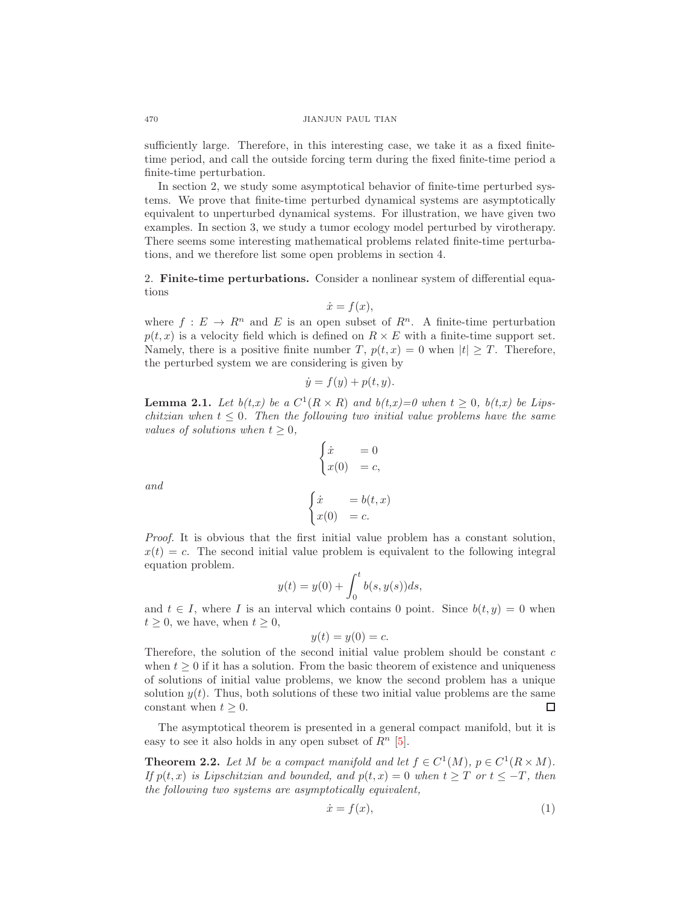sufficiently large. Therefore, in this interesting case, we take it as a fixed finitetime period, and call the outside forcing term during the fixed finite-time period a finite-time perturbation.

In section 2, we study some asymptotical behavior of finite-time perturbed systems. We prove that finite-time perturbed dynamical systems are asymptotically equivalent to unperturbed dynamical systems. For illustration, we have given two examples. In section 3, we study a tumor ecology model perturbed by virotherapy. There seems some interesting mathematical problems related finite-time perturbations, and we therefore list some open problems in section 4.

2. Finite-time perturbations. Consider a nonlinear system of differential equations

$$
\dot{x} = f(x),
$$

where  $f: E \to R^n$  and E is an open subset of  $R^n$ . A finite-time perturbation  $p(t, x)$  is a velocity field which is defined on  $R \times E$  with a finite-time support set. Namely, there is a positive finite number T,  $p(t, x) = 0$  when  $|t| \geq T$ . Therefore, the perturbed system we are considering is given by

$$
\dot{y} = f(y) + p(t, y).
$$

<span id="page-2-0"></span>**Lemma 2.1.** Let  $b(t,x)$  be a  $C^1(R \times R)$  and  $b(t,x)=0$  when  $t \geq 0$ ,  $b(t,x)$  be Lipschitzian when  $t \leq 0$ . Then the following two initial value problems have the same values of solutions when  $t \geq 0$ ,

$$
\begin{cases}\n\dot{x} = 0\\ \nx(0) = c, \\
\dot{x} = b(t, x)\\ \nx(0) = c.\n\end{cases}
$$

and

*Proof.* It is obvious that the first initial value problem has a constant solution, 
$$
x(t) = c
$$
. The second initial value problem is equivalent to the following integral equation problem.

$$
y(t) = y(0) + \int_0^t b(s, y(s))ds,
$$

and  $t \in I$ , where I is an interval which contains 0 point. Since  $b(t, y) = 0$  when  $t \geq 0$ , we have, when  $t \geq 0$ ,

$$
y(t) = y(0) = c.
$$

Therefore, the solution of the second initial value problem should be constant  $c$ when  $t \geq 0$  if it has a solution. From the basic theorem of existence and uniqueness of solutions of initial value problems, we know the second problem has a unique solution  $y(t)$ . Thus, both solutions of these two initial value problems are the same constant when  $t \geq 0$ . □

The asymptotical theorem is presented in a general compact manifold, but it is easy to see it also holds in any open subset of  $R<sup>n</sup>$  [\[5\]](#page-11-2).

<span id="page-2-2"></span>**Theorem 2.2.** Let M be a compact manifold and let  $f \in C^1(M)$ ,  $p \in C^1(R \times M)$ . If  $p(t,x)$  is Lipschitzian and bounded, and  $p(t,x) = 0$  when  $t \geq T$  or  $t \leq -T$ , then the following two systems are asymptotically equivalent,

<span id="page-2-1"></span>
$$
\dot{x} = f(x),\tag{1}
$$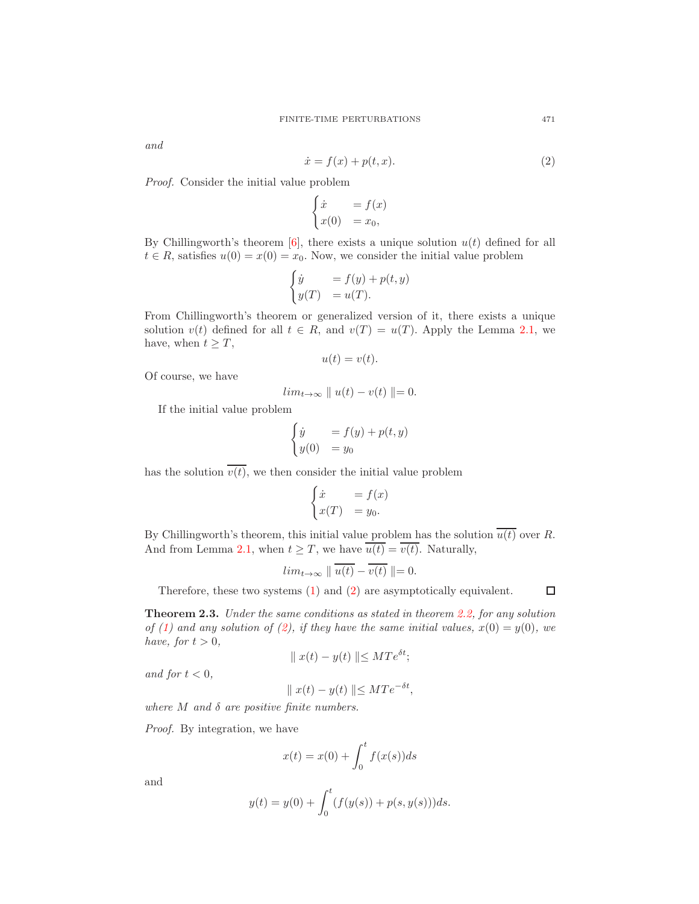and

<span id="page-3-0"></span>
$$
\dot{x} = f(x) + p(t, x). \tag{2}
$$

Proof. Consider the initial value problem

$$
\begin{cases} \dot{x} &= f(x) \\ x(0) &= x_0, \end{cases}
$$

By Chillingworth's theorem  $[6]$ , there exists a unique solution  $u(t)$  defined for all  $t \in R$ , satisfies  $u(0) = x(0) = x_0$ . Now, we consider the initial value problem

$$
\begin{cases} \dot{y} &= f(y) + p(t, y) \\ y(T) &= u(T). \end{cases}
$$

From Chillingworth's theorem or generalized version of it, there exists a unique solution  $v(t)$  defined for all  $t \in R$ , and  $v(T) = u(T)$ . Apply the Lemma [2.1,](#page-2-0) we have, when  $t \geq T$ ,

$$
u(t) = v(t).
$$

Of course, we have

$$
lim_{t\to\infty} ||u(t)-v(t)||=0.
$$

If the initial value problem

$$
\begin{cases} \dot{y} &= f(y) + p(t, y) \\ y(0) &= y_0 \end{cases}
$$

has the solution  $\overline{v(t)}$ , we then consider the initial value problem

$$
\begin{cases} \dot{x} &= f(x) \\ x(T) &= y_0. \end{cases}
$$

By Chillingworth's theorem, this initial value problem has the solution  $\overline{u(t)}$  over R. And from Lemma [2.1,](#page-2-0) when  $t \geq T$ , we have  $\overline{u(t)} = \overline{v(t)}$ . Naturally,

$$
lim_{t \to \infty} \parallel \overline{u(t)} - \overline{v(t)} \parallel = 0.
$$

Therefore, these two systems [\(1\)](#page-2-1) and [\(2\)](#page-3-0) are asymptotically equivalent.

 $\Box$ 

Theorem 2.3. Under the same conditions as stated in theorem [2.2,](#page-2-2) for any solution of [\(1\)](#page-2-1) and any solution of [\(2\)](#page-3-0), if they have the same initial values,  $x(0) = y(0)$ , we have, for  $t > 0$ ,

$$
\parallel x(t) - y(t) \parallel \leq M T e^{\delta t};
$$

and for  $t < 0$ ,

$$
\parallel x(t) - y(t) \parallel \leq MTe^{-\delta t},
$$

where  $M$  and  $\delta$  are positive finite numbers.

Proof. By integration, we have

$$
x(t) = x(0) + \int_0^t f(x(s))ds
$$

and

$$
y(t) = y(0) + \int_0^t (f(y(s)) + p(s, y(s)))ds.
$$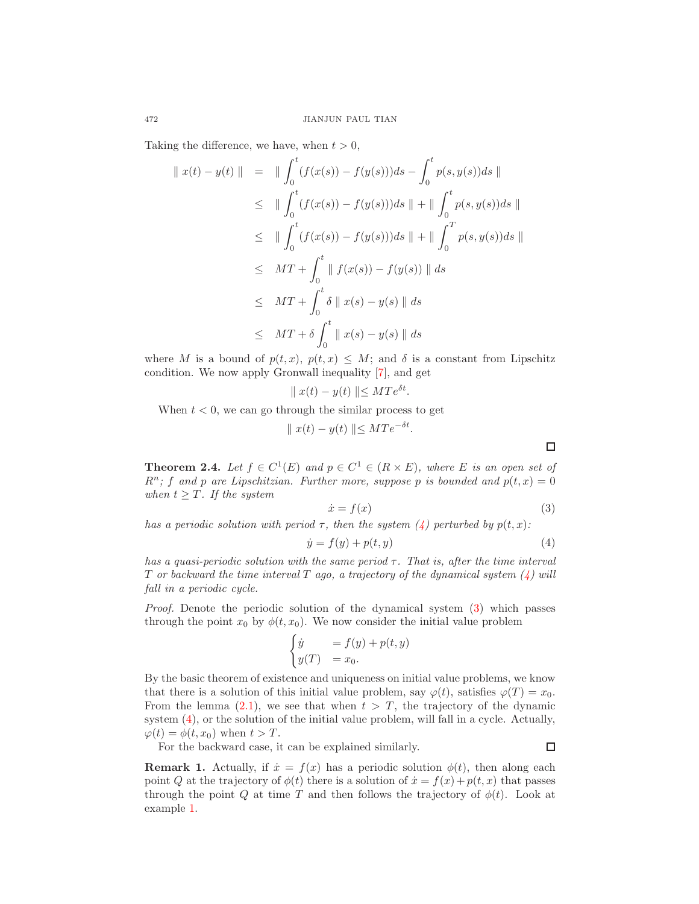Taking the difference, we have, when  $t > 0$ ,

$$
\|x(t) - y(t)\| = \| \int_0^t (f(x(s)) - f(y(s))) ds - \int_0^t p(s, y(s)) ds \|
$$
  
\n
$$
\leq \| \int_0^t (f(x(s)) - f(y(s))) ds \| + \| \int_0^t p(s, y(s)) ds \|
$$
  
\n
$$
\leq \| \int_0^t (f(x(s)) - f(y(s))) ds \| + \| \int_0^T p(s, y(s)) ds \|
$$
  
\n
$$
\leq MT + \int_0^t \| f(x(s)) - f(y(s)) \| ds
$$
  
\n
$$
\leq MT + \int_0^t \delta \| x(s) - y(s) \| ds
$$
  
\n
$$
\leq MT + \delta \int_0^t \| x(s) - y(s) \| ds
$$

where M is a bound of  $p(t,x)$ ,  $p(t,x) \leq M$ ; and  $\delta$  is a constant from Lipschitz condition. We now apply Gronwall inequality [\[7\]](#page-11-4), and get

$$
\parallel x(t) - y(t) \parallel \leq M T e^{\delta t}.
$$

When  $t < 0$ , we can go through the similar process to get

$$
\parallel x(t) - y(t) \parallel \leq MTe^{-\delta t}.
$$

**Theorem 2.4.** Let  $f \in C^1(E)$  and  $p \in C^1 \in (R \times E)$ , where E is an open set of  $R^n$ ; f and p are Lipschitzian. Further more, suppose p is bounded and  $p(t, x) = 0$ when  $t \geq T$ . If the system

<span id="page-4-1"></span>
$$
\dot{x} = f(x) \tag{3}
$$

has a periodic solution with period  $\tau$ , then the system [\(4\)](#page-4-0) perturbed by  $p(t, x)$ :

<span id="page-4-0"></span>
$$
\dot{y} = f(y) + p(t, y) \tag{4}
$$

has a quasi-periodic solution with the same period  $\tau$ . That is, after the time interval  $T$  or backward the time interval  $T$  ago, a trajectory of the dynamical system  $(4)$  will fall in a periodic cycle.

Proof. Denote the periodic solution of the dynamical system [\(3\)](#page-4-1) which passes through the point  $x_0$  by  $\phi(t, x_0)$ . We now consider the initial value problem

$$
\begin{cases} \dot{y} &= f(y) + p(t, y) \\ y(T) &= x_0. \end{cases}
$$

By the basic theorem of existence and uniqueness on initial value problems, we know that there is a solution of this initial value problem, say  $\varphi(t)$ , satisfies  $\varphi(T) = x_0$ . From the lemma [\(2.1\)](#page-2-0), we see that when  $t > T$ , the trajectory of the dynamic system [\(4\)](#page-4-0), or the solution of the initial value problem, will fall in a cycle. Actually,  $\varphi(t) = \phi(t, x_0)$  when  $t > T$ .  $\Box$ 

For the backward case, it can be explained similarly.

**Remark 1.** Actually, if  $\dot{x} = f(x)$  has a periodic solution  $\phi(t)$ , then along each point Q at the trajectory of  $\phi(t)$  there is a solution of  $\dot{x} = f(x) + p(t, x)$  that passes through the point Q at time T and then follows the trajectory of  $\phi(t)$ . Look at example [1.](#page-5-0)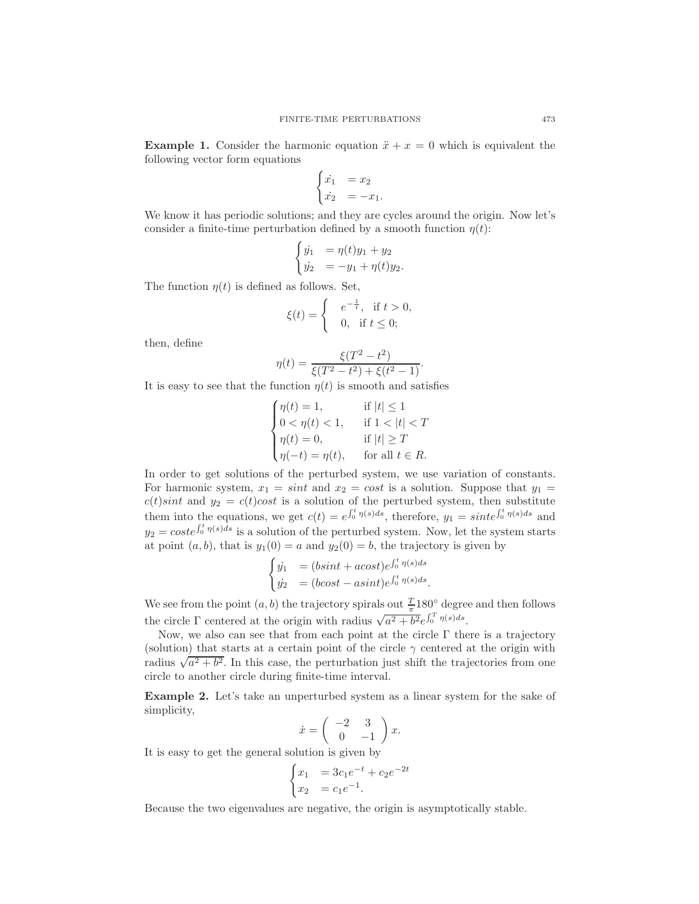<span id="page-5-0"></span>**Example 1.** Consider the harmonic equation  $\ddot{x} + x = 0$  which is equivalent the following vector form equations

$$
\begin{cases} \n\dot{x}_1 &= x_2 \\ \n\dot{x}_2 &= -x_1. \n\end{cases}
$$

We know it has periodic solutions; and they are cycles around the origin. Now let's consider a finite-time perturbation defined by a smooth function  $\eta(t)$ :

$$
\begin{cases} \dot{y_1} = \eta(t)y_1 + y_2 \\ \dot{y_2} = -y_1 + \eta(t)y_2. \end{cases}
$$

The function  $\eta(t)$  is defined as follows. Set,

$$
\xi(t) = \begin{cases} e^{-\frac{1}{t}}, & \text{if } t > 0, \\ 0, & \text{if } t \le 0; \end{cases}
$$

then, define

$$
\eta(t) = \frac{\xi(T^2 - t^2)}{\xi(T^2 - t^2) + \xi(t^2 - 1)}.
$$

It is easy to see that the function  $\eta(t)$  is smooth and satisfies

$$
\begin{cases}\n\eta(t) = 1, & \text{if } |t| \le 1 \\
0 < \eta(t) < 1, \quad \text{if } 1 < |t| < T \\
\eta(t) = 0, & \text{if } |t| \ge T \\
\eta(-t) = \eta(t), & \text{for all } t \in R.\n\end{cases}
$$

In order to get solutions of the perturbed system, we use variation of constants. For harmonic system,  $x_1 = \sin t$  and  $x_2 = \cos t$  is a solution. Suppose that  $y_1 =$  $c(t)$ *sint* and  $y_2 = c(t) \cos t$  is a solution of the perturbed system, then substitute them into the equations, we get  $c(t) = e^{\int_0^t \eta(s)ds}$ , therefore,  $y_1 = sint e^{\int_0^t \eta(s)ds}$  and  $y_2 = coste^{\int_0^t \eta(s)ds}$  is a solution of the perturbed system. Now, let the system starts at point  $(a, b)$ , that is  $y_1(0) = a$  and  $y_2(0) = b$ , the trajectory is given by

$$
\begin{cases} \dot{y}_1 &= (bsint + acost)e^{\int_0^t \eta(s)ds} \\ \dot{y}_2 &= (bcost - asint)e^{\int_0^t \eta(s)ds} . \end{cases}
$$

We see from the point  $(a, b)$  the trajectory spirals out  $\frac{T}{\pi}180^\circ$  degree and then follows the circle  $\Gamma$  centered at the origin with radius  $\sqrt{a^2 + b^2}e^{\int_0^T \eta(s)ds}$ .

Now, we also can see that from each point at the circle Γ there is a trajectory (solution) that starts at a certain point of the circle  $\gamma$  centered at the origin with radius  $\sqrt{a^2+b^2}$ . In this case, the perturbation just shift the trajectories from one circle to another circle during finite-time interval.

Example 2. Let's take an unperturbed system as a linear system for the sake of simplicity,

$$
\dot{x} = \begin{pmatrix} -2 & 3\\ 0 & -1 \end{pmatrix} x.
$$

It is easy to get the general solution is given by

$$
\begin{cases} x_1 = 3c_1e^{-t} + c_2e^{-2t} \\ x_2 = c_1e^{-1}. \end{cases}
$$

Because the two eigenvalues are negative, the origin is asymptotically stable.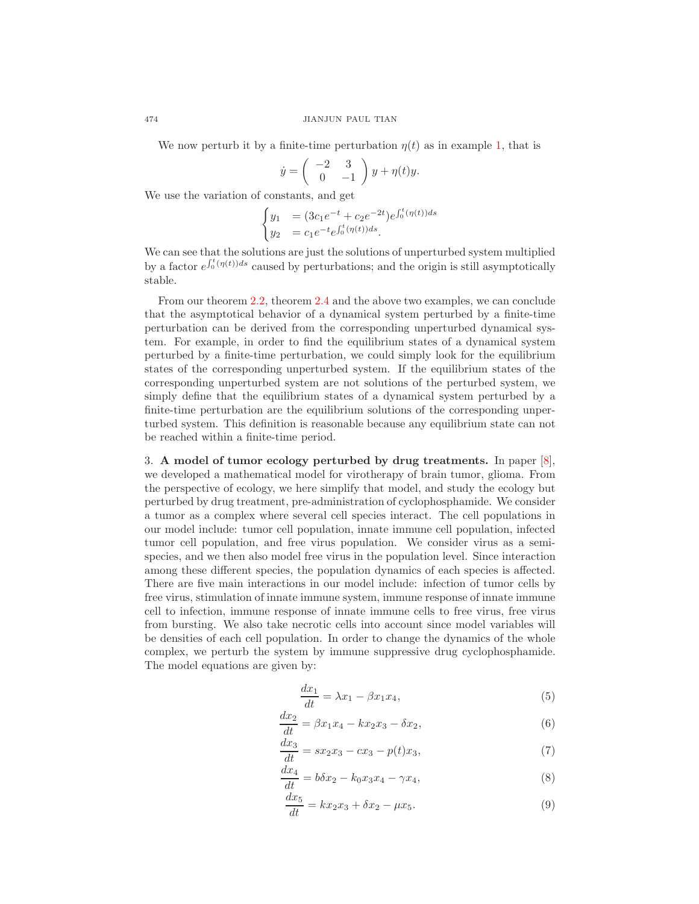We now perturb it by a finite-time perturbation  $\eta(t)$  as in example [1,](#page-5-0) that is

$$
\dot{y} = \begin{pmatrix} -2 & 3 \\ 0 & -1 \end{pmatrix} y + \eta(t)y.
$$

We use the variation of constants, and get

$$
\begin{cases}\ny_1 &= (3c_1e^{-t} + c_2e^{-2t})e^{\int_0^t (\eta(t))ds} \\
y_2 &= c_1e^{-t}e^{\int_0^t (\eta(t))ds}.\n\end{cases}
$$

We can see that the solutions are just the solutions of unperturbed system multiplied by a factor  $e^{\int_0^t (\eta(t))ds}$  caused by perturbations; and the origin is still asymptotically stable.

From our theorem [2.2,](#page-2-2) theorem [2.4](#page-4-0) and the above two examples, we can conclude that the asymptotical behavior of a dynamical system perturbed by a finite-time perturbation can be derived from the corresponding unperturbed dynamical system. For example, in order to find the equilibrium states of a dynamical system perturbed by a finite-time perturbation, we could simply look for the equilibrium states of the corresponding unperturbed system. If the equilibrium states of the corresponding unperturbed system are not solutions of the perturbed system, we simply define that the equilibrium states of a dynamical system perturbed by a finite-time perturbation are the equilibrium solutions of the corresponding unperturbed system. This definition is reasonable because any equilibrium state can not be reached within a finite-time period.

3. A model of tumor ecology perturbed by drug treatments. In paper [\[8\]](#page-11-5), we developed a mathematical model for virotherapy of brain tumor, glioma. From the perspective of ecology, we here simplify that model, and study the ecology but perturbed by drug treatment, pre-administration of cyclophosphamide. We consider a tumor as a complex where several cell species interact. The cell populations in our model include: tumor cell population, innate immune cell population, infected tumor cell population, and free virus population. We consider virus as a semispecies, and we then also model free virus in the population level. Since interaction among these different species, the population dynamics of each species is affected. There are five main interactions in our model include: infection of tumor cells by free virus, stimulation of innate immune system, immune response of innate immune cell to infection, immune response of innate immune cells to free virus, free virus from bursting. We also take necrotic cells into account since model variables will be densities of each cell population. In order to change the dynamics of the whole complex, we perturb the system by immune suppressive drug cyclophosphamide. The model equations are given by:

<span id="page-6-1"></span>
$$
\frac{dx_1}{dt} = \lambda x_1 - \beta x_1 x_4,\tag{5}
$$

$$
\frac{dx_2}{dt} = \beta x_1 x_4 - k x_2 x_3 - \delta x_2,\tag{6}
$$

$$
\frac{dx_3}{dt} = sx_2x_3 - cx_3 - p(t)x_3,\t\t(7)
$$

<span id="page-6-2"></span>
$$
\frac{dx_4}{dt} = b\delta x_2 - k_0 x_3 x_4 - \gamma x_4,\tag{8}
$$

<span id="page-6-0"></span>
$$
\frac{dx_5}{dt} = kx_2x_3 + \delta x_2 - \mu x_5.
$$
\n(9)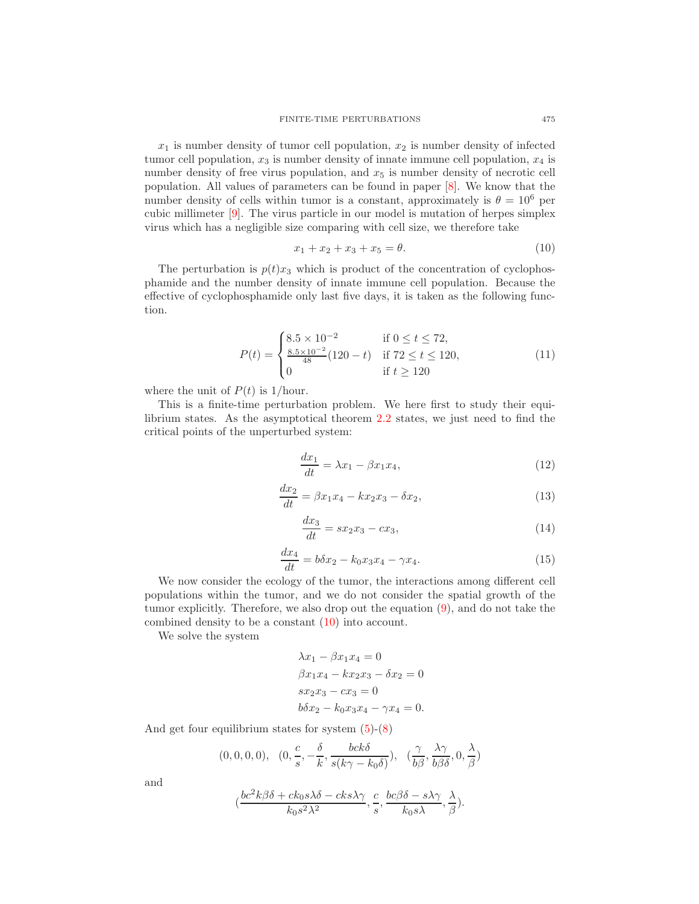$x_1$  is number density of tumor cell population,  $x_2$  is number density of infected tumor cell population,  $x_3$  is number density of innate immune cell population,  $x_4$  is number density of free virus population, and  $x<sub>5</sub>$  is number density of necrotic cell population. All values of parameters can be found in paper [\[8\]](#page-11-5). We know that the number density of cells within tumor is a constant, approximately is  $\theta = 10^6$  per cubic millimeter [\[9\]](#page-11-6). The virus particle in our model is mutation of herpes simplex virus which has a negligible size comparing with cell size, we therefore take

<span id="page-7-0"></span>
$$
x_1 + x_2 + x_3 + x_5 = \theta. \tag{10}
$$

The perturbation is  $p(t)x_3$  which is product of the concentration of cyclophosphamide and the number density of innate immune cell population. Because the effective of cyclophosphamide only last five days, it is taken as the following function.

$$
P(t) = \begin{cases} 8.5 \times 10^{-2} & \text{if } 0 \le t \le 72, \\ \frac{8.5 \times 10^{-2}}{48} (120 - t) & \text{if } 72 \le t \le 120, \\ 0 & \text{if } t \ge 120 \end{cases} \tag{11}
$$

where the unit of  $P(t)$  is 1/hour.

This is a finite-time perturbation problem. We here first to study their equilibrium states. As the asymptotical theorem [2.2](#page-2-2) states, we just need to find the critical points of the unperturbed system:

<span id="page-7-1"></span>
$$
\frac{dx_1}{dt} = \lambda x_1 - \beta x_1 x_4,\tag{12}
$$

$$
\frac{dx_2}{dt} = \beta x_1 x_4 - k x_2 x_3 - \delta x_2,\tag{13}
$$

$$
\frac{dx_3}{dt} = sx_2x_3 - cx_3,\t\t(14)
$$

<span id="page-7-2"></span>
$$
\frac{dx_4}{dt} = b\delta x_2 - k_0 x_3 x_4 - \gamma x_4. \tag{15}
$$

We now consider the ecology of the tumor, the interactions among different cell populations within the tumor, and we do not consider the spatial growth of the tumor explicitly. Therefore, we also drop out the equation [\(9\)](#page-6-0), and do not take the combined density to be a constant [\(10\)](#page-7-0) into account.

We solve the system

$$
\lambda x_1 - \beta x_1 x_4 = 0
$$
  
\n
$$
\beta x_1 x_4 - k x_2 x_3 - \delta x_2 = 0
$$
  
\n
$$
s x_2 x_3 - c x_3 = 0
$$
  
\n
$$
b \delta x_2 - k_0 x_3 x_4 - \gamma x_4 = 0.
$$

And get four equilibrium states for system [\(5\)](#page-6-1)-[\(8\)](#page-6-2)

$$
(0,0,0,0), (0,\frac{c}{s},-\frac{\delta}{k},\frac{bck\delta}{s(k\gamma-k_0\delta)}), (\frac{\gamma}{b\beta},\frac{\lambda\gamma}{b\beta\delta},0,\frac{\lambda}{\beta})
$$

and

$$
(\frac{bc^2k\beta\delta + ck_0s\lambda\delta - cks\lambda\gamma}{k_0s^2\lambda^2}, \frac{c}{s}, \frac{bc\beta\delta - s\lambda\gamma}{k_0s\lambda}, \frac{\lambda}{\beta}).
$$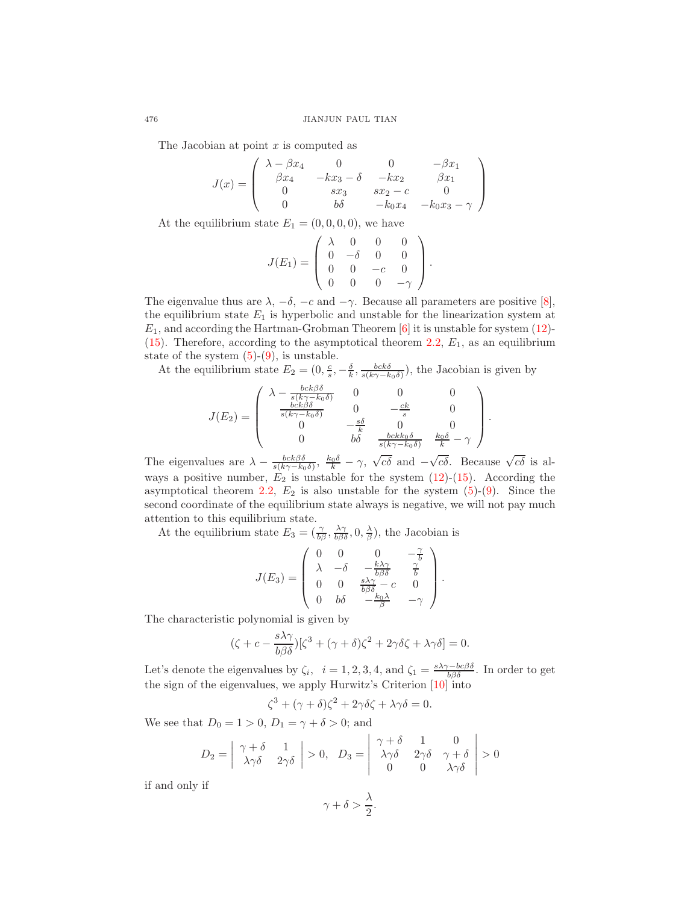The Jacobian at point  $x$  is computed as

$$
J(x) = \begin{pmatrix} \lambda - \beta x_4 & 0 & 0 & -\beta x_1 \\ \beta x_4 & -k x_3 - \delta & -k x_2 & \beta x_1 \\ 0 & s x_3 & s x_2 - c & 0 \\ 0 & b\delta & -k_0 x_4 & -k_0 x_3 - \gamma \end{pmatrix}
$$

At the equilibrium state  $E_1 = (0, 0, 0, 0)$ , we have

$$
J(E_1) = \begin{pmatrix} \lambda & 0 & 0 & 0 \\ 0 & -\delta & 0 & 0 \\ 0 & 0 & -c & 0 \\ 0 & 0 & 0 & -\gamma \end{pmatrix}.
$$

The eigenvalue thus are  $\lambda$ ,  $-\delta$ ,  $-c$  and  $-\gamma$ . Because all parameters are positive [\[8\]](#page-11-5), the equilibrium state  $E_1$  is hyperbolic and unstable for the linearization system at  $E_1$ , and according the Hartman-Grobman Theorem  $[6]$  it is unstable for system [\(12\)](#page-7-1)-[\(15\)](#page-7-2). Therefore, according to the asymptotical theorem [2.2,](#page-2-2)  $E_1$ , as an equilibrium state of the system  $(5)-(9)$  $(5)-(9)$ , is unstable.

At the equilibrium state  $E_2 = (0, \frac{c}{s}, -\frac{\delta}{k}, \frac{bck\delta}{s(k\gamma - k_0\delta)})$ , the Jacobian is given by

$$
J(E_2) = \begin{pmatrix} \lambda - \frac{bck\beta\delta}{s(k\gamma - k_0\delta)} & 0 & 0 & 0\\ \frac{bck\beta\delta}{s(k\gamma - k_0\delta)} & 0 & -\frac{ck}{s} & 0\\ 0 & -\frac{s\delta}{k} & 0 & 0\\ 0 & b\delta & \frac{bckk_0\delta}{s(k\gamma - k_0\delta)} & \frac{k_0\delta}{k} - \gamma \end{pmatrix}
$$

.

The eigenvalues are  $\lambda - \frac{bck\beta\delta}{s(k\gamma - k_0\delta)}$ ,  $\frac{k_0\delta}{k} - \gamma$ ,  $\sqrt{c\delta}$  and  $-\sqrt{c\delta}$ . Because  $\sqrt{c\delta}$  is always a positive number,  $E_2$  is unstable for the system  $(12)-(15)$  $(12)-(15)$ . According the asymptotical theorem [2.2,](#page-2-2)  $E_2$  is also unstable for the system  $(5)-(9)$  $(5)-(9)$ . Since the second coordinate of the equilibrium state always is negative, we will not pay much attention to this equilibrium state.

At the equilibrium state  $E_3 = (\frac{\gamma}{b\beta}, \frac{\lambda\gamma}{b\beta\delta}, 0, \frac{\lambda}{\beta})$ , the Jacobian is

$$
J(E_3) = \begin{pmatrix} 0 & 0 & 0 & -\frac{\gamma}{b} \\ \lambda & -\delta & -\frac{k\lambda\gamma}{b\beta\delta} & \frac{\gamma}{b} \\ 0 & 0 & \frac{s\lambda\gamma}{b\beta\delta} - c & 0 \\ 0 & b\delta & -\frac{k_0\lambda}{\beta} & -\gamma \end{pmatrix}.
$$

The characteristic polynomial is given by

$$
(\zeta + c - \frac{s\lambda\gamma}{b\beta\delta})[\zeta^3 + (\gamma + \delta)\zeta^2 + 2\gamma\delta\zeta + \lambda\gamma\delta] = 0.
$$

Let's denote the eigenvalues by  $\zeta_i$ ,  $i = 1, 2, 3, 4$ , and  $\zeta_1 = \frac{s\lambda\gamma - bc\beta\delta}{b\beta\delta}$ . In order to get the sign of the eigenvalues, we apply Hurwitz's Criterion [\[10\]](#page-11-7) into

$$
\zeta^3 + (\gamma + \delta)\zeta^2 + 2\gamma\delta\zeta + \lambda\gamma\delta = 0.
$$

We see that  $D_0 = 1 > 0$ ,  $D_1 = \gamma + \delta > 0$ ; and

$$
D_2 = \begin{vmatrix} \gamma + \delta & 1 \\ \lambda \gamma \delta & 2 \gamma \delta \end{vmatrix} > 0, \quad D_3 = \begin{vmatrix} \gamma + \delta & 1 & 0 \\ \lambda \gamma \delta & 2 \gamma \delta & \gamma + \delta \\ 0 & 0 & \lambda \gamma \delta \end{vmatrix} > 0
$$

if and only if

$$
\gamma + \delta > \frac{\lambda}{2}.
$$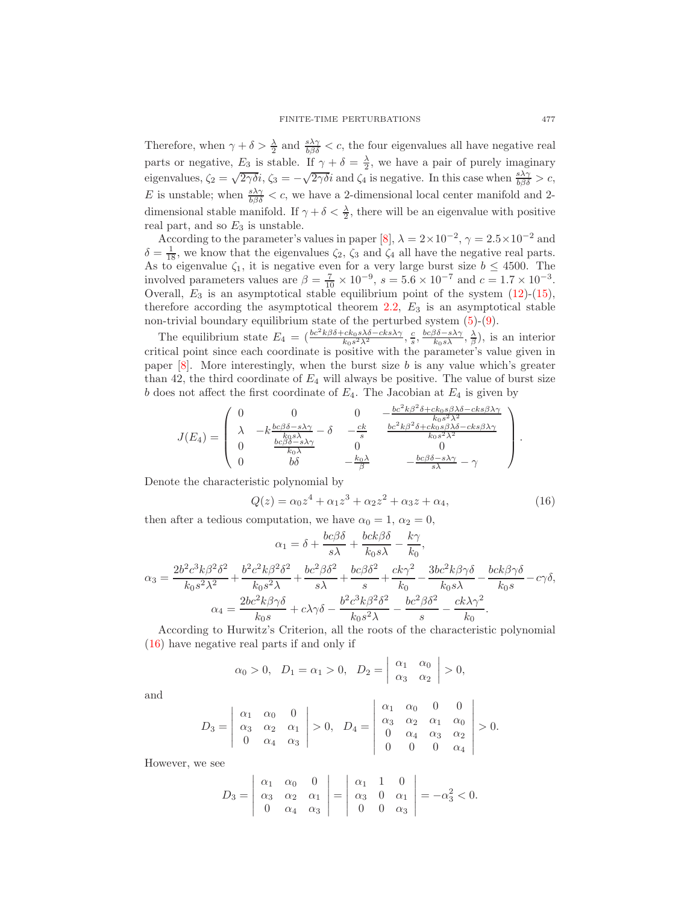Therefore, when  $\gamma + \delta > \frac{\lambda}{2}$  and  $\frac{s\lambda\gamma}{b\beta\delta} < c$ , the four eigenvalues all have negative real parts or negative,  $E_3$  is stable. If  $\gamma + \delta = \frac{\lambda}{2}$ , we have a pair of purely imaginary eigenvalues,  $\zeta_2 = \sqrt{2\gamma\delta}i$ ,  $\zeta_3 = -\sqrt{2\gamma\delta}i$  and  $\zeta_4$  is negative. In this case when  $\frac{s\lambda\gamma}{b\beta\delta} > c$ , E is unstable; when  $\frac{s\lambda\gamma}{b\beta\delta} < c$ , we have a 2-dimensional local center manifold and 2dimensional stable manifold. If  $\gamma + \delta < \frac{\lambda}{2}$ , there will be an eigenvalue with positive real part, and so  $E_3$  is unstable.

According to the parameter's values in paper [\[8\]](#page-11-5),  $\lambda = 2 \times 10^{-2}$ ,  $\gamma = 2.5 \times 10^{-2}$  and  $\delta = \frac{1}{18}$ , we know that the eigenvalues  $\zeta_2$ ,  $\zeta_3$  and  $\zeta_4$  all have the negative real parts. As to eigenvalue  $\zeta_1$ , it is negative even for a very large burst size  $b \leq 4500$ . The involved parameters values are  $\beta = \frac{7}{10} \times 10^{-9}$ ,  $s = 5.6 \times 10^{-7}$  and  $c = 1.7 \times 10^{-3}$ . Overall,  $E_3$  is an asymptotical stable equilibrium point of the system  $(12)-(15)$  $(12)-(15)$ , therefore according the asymptotical theorem  $2.2$ ,  $E_3$  is an asymptotical stable non-trivial boundary equilibrium state of the perturbed system  $(5)-(9)$  $(5)-(9)$ .

The equilibrium state  $E_4 = \left( \frac{bc^2k\beta\delta + ck_0s\lambda\delta - cks\lambda\gamma}{k_0s^2\lambda^2}, \frac{c}{s}, \frac{bc\beta\delta - s\lambda\gamma}{k_0s\lambda}, \frac{\lambda}{\beta} \right)$ , is an interior critical point since each coordinate is positive with the parameter's value given in paper  $[8]$ . More interestingly, when the burst size b is any value which's greater than 42, the third coordinate of  $E_4$  will always be positive. The value of burst size b does not affect the first coordinate of  $E_4$ . The Jacobian at  $E_4$  is given by

$$
J(E_4) = \begin{pmatrix} 0 & 0 & 0 & -\frac{bc^2k\beta^2\delta + ck_0s\beta\lambda\delta - ck_0s\beta\lambda}{k_0s^2\lambda^2} \\ \lambda & -k\frac{bc\beta\delta - s\lambda\gamma}{k_0s\lambda} - \delta & -\frac{ck}{s} & \frac{bc^2k\beta^2\delta + ck_0s\beta\lambda\delta - ck_0s\beta\lambda\gamma}{k_0s^2\lambda^2} \\ 0 & \frac{bc\beta\delta - s\lambda\gamma}{k_0\lambda} & 0 & 0 \\ 0 & b\delta & -\frac{k_0\lambda}{\beta} & -\frac{bc\beta\delta - s\lambda\gamma}{s\lambda} - \gamma \end{pmatrix}.
$$

Denote the characteristic polynomial by

<span id="page-9-0"></span>
$$
Q(z) = \alpha_0 z^4 + \alpha_1 z^3 + \alpha_2 z^2 + \alpha_3 z + \alpha_4, \tag{16}
$$

then after a tedious computation, we have  $\alpha_0 = 1, \alpha_2 = 0$ ,

$$
\alpha_1 = \delta + \frac{bc\beta\delta}{s\lambda} + \frac{bck\beta\delta}{k_0s\lambda} - \frac{k\gamma}{k_0},
$$

$$
\alpha_3 = \frac{2b^2c^3k\beta^2\delta^2}{k_0s^2\lambda^2} + \frac{b^2c^2k\beta^2\delta^2}{k_0s^2\lambda} + \frac{bc^2\beta\delta^2}{s\lambda} + \frac{bc\beta\delta^2}{s} + \frac{ck\gamma^2}{k_0} - \frac{3bc^2k\beta\gamma\delta}{k_0s\lambda} - \frac{bck\beta\gamma\delta}{k_0s} - c\gamma\delta,
$$

$$
\alpha_4 = \frac{2bc^2k\beta\gamma\delta}{k_0s} + c\lambda\gamma\delta - \frac{b^2c^3k\beta^2\delta^2}{k_0s^2\lambda} - \frac{bc^2\beta\delta^2}{s} - \frac{ck\lambda\gamma^2}{k_0}.
$$

According to Hurwitz's Criterion, all the roots of the characteristic polynomial [\(16\)](#page-9-0) have negative real parts if and only if

$$
\alpha_0 > 0, \quad D_1 = \alpha_1 > 0, \quad D_2 = \left| \begin{array}{cc} \alpha_1 & \alpha_0 \\ \alpha_3 & \alpha_2 \end{array} \right| > 0,
$$

and

$$
D_3 = \left| \begin{array}{ccc} \alpha_1 & \alpha_0 & 0 \\ \alpha_3 & \alpha_2 & \alpha_1 \\ 0 & \alpha_4 & \alpha_3 \end{array} \right| > 0, \ \ D_4 = \left| \begin{array}{ccc} \alpha_1 & \alpha_0 & 0 & 0 \\ \alpha_3 & \alpha_2 & \alpha_1 & \alpha_0 \\ 0 & \alpha_4 & \alpha_3 & \alpha_2 \\ 0 & 0 & 0 & \alpha_4 \end{array} \right| > 0.
$$

However, we see

$$
D_3 = \left| \begin{array}{ccc} \alpha_1 & \alpha_0 & 0 \\ \alpha_3 & \alpha_2 & \alpha_1 \\ 0 & \alpha_4 & \alpha_3 \end{array} \right| = \left| \begin{array}{ccc} \alpha_1 & 1 & 0 \\ \alpha_3 & 0 & \alpha_1 \\ 0 & 0 & \alpha_3 \end{array} \right| = -\alpha_3^2 < 0.
$$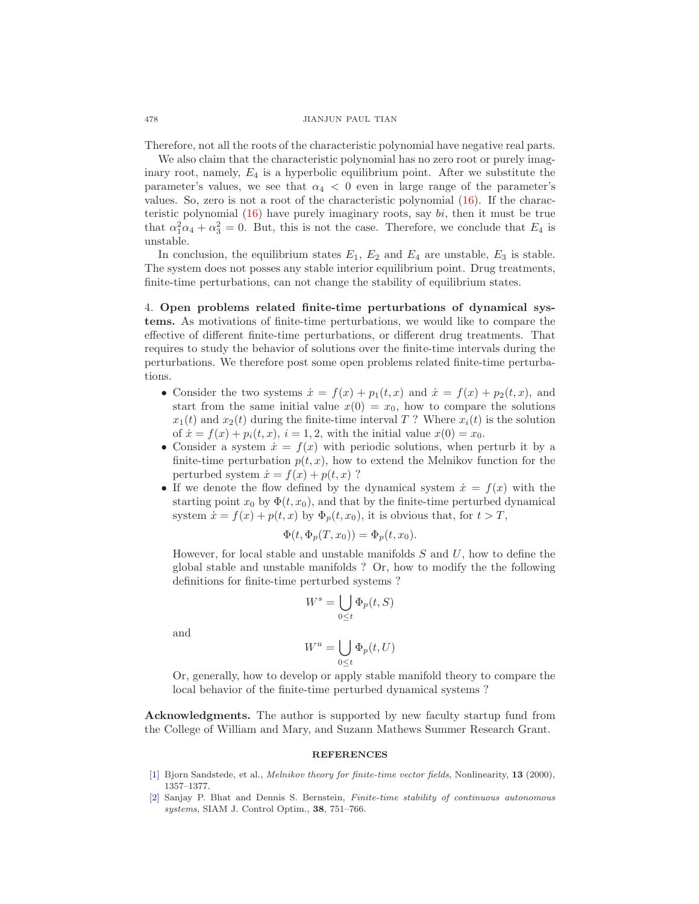#### 478 JIANJUN PAUL TIAN

Therefore, not all the roots of the characteristic polynomial have negative real parts.

We also claim that the characteristic polynomial has no zero root or purely imaginary root, namely,  $E_4$  is a hyperbolic equilibrium point. After we substitute the parameter's values, we see that  $\alpha_4$  < 0 even in large range of the parameter's values. So, zero is not a root of the characteristic polynomial [\(16\)](#page-9-0). If the characteristic polynomial  $(16)$  have purely imaginary roots, say bi, then it must be true that  $\alpha_1^2 \alpha_4 + \alpha_3^2 = 0$ . But, this is not the case. Therefore, we conclude that  $E_4$  is unstable.

In conclusion, the equilibrium states  $E_1, E_2$  and  $E_4$  are unstable,  $E_3$  is stable. The system does not posses any stable interior equilibrium point. Drug treatments, finite-time perturbations, can not change the stability of equilibrium states.

4. Open problems related finite-time perturbations of dynamical systems. As motivations of finite-time perturbations, we would like to compare the effective of different finite-time perturbations, or different drug treatments. That requires to study the behavior of solutions over the finite-time intervals during the perturbations. We therefore post some open problems related finite-time perturbations.

- Consider the two systems  $\dot{x} = f(x) + p_1(t, x)$  and  $\dot{x} = f(x) + p_2(t, x)$ , and start from the same initial value  $x(0) = x_0$ , how to compare the solutions  $x_1(t)$  and  $x_2(t)$  during the finite-time interval T? Where  $x_i(t)$  is the solution of  $\dot{x} = f(x) + p_i(t, x), i = 1, 2$ , with the initial value  $x(0) = x_0$ .
- Consider a system  $\dot{x} = f(x)$  with periodic solutions, when perturb it by a finite-time perturbation  $p(t, x)$ , how to extend the Melnikov function for the perturbed system  $\dot{x} = f(x) + p(t, x)$  ?
- If we denote the flow defined by the dynamical system  $\dot{x} = f(x)$  with the starting point  $x_0$  by  $\Phi(t, x_0)$ , and that by the finite-time perturbed dynamical system  $\dot{x} = f(x) + p(t, x)$  by  $\Phi_p(t, x_0)$ , it is obvious that, for  $t > T$ ,

$$
\Phi(t, \Phi_p(T, x_0)) = \Phi_p(t, x_0).
$$

However, for local stable and unstable manifolds  $S$  and  $U$ , how to define the global stable and unstable manifolds ? Or, how to modify the the following definitions for finite-time perturbed systems ?

$$
W^s = \bigcup_{0 \le t} \Phi_p(t, S)
$$

and

$$
W^u = \bigcup_{0 \le t} \Phi_p(t, U)
$$

Or, generally, how to develop or apply stable manifold theory to compare the local behavior of the finite-time perturbed dynamical systems ?

Acknowledgments. The author is supported by new faculty startup fund from the College of William and Mary, and Suzann Mathews Summer Research Grant.

#### **REFERENCES**

- <span id="page-10-0"></span>[\[1\]](http://www.ams.org/mathscinet-getitem?mr=MR1767964&return=pdf) Bjorn Sandstede, et al., *Melnikov theory for finite-time vector fields*, Nonlinearity, 13 (2000), 1357–1377.
- <span id="page-10-1"></span>[\[2\]](http://www.ams.org/mathscinet-getitem?mr=MR1756893&return=pdf) Sanjay P. Bhat and Dennis S. Bernstein, Finite-time stability of continuous autonomous systems, SIAM J. Control Optim., 38, 751–766.